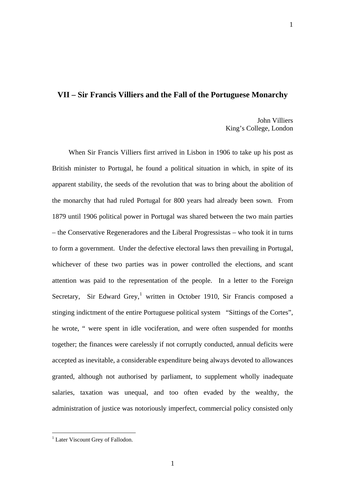## **VII – Sir Francis Villiers and the Fall of the Portuguese Monarchy**

John Villiers King's College, London

1

When Sir Francis Villiers first arrived in Lisbon in 1906 to take up his post as British minister to Portugal, he found a political situation in which, in spite of its apparent stability, the seeds of the revolution that was to bring about the abolition of the monarchy that had ruled Portugal for 800 years had already been sown. From 1879 until 1906 political power in Portugal was shared between the two main parties – the Conservative Regeneradores and the Liberal Progressistas – who took it in turns to form a government. Under the defective electoral laws then prevailing in Portugal, whichever of these two parties was in power controlled the elections, and scant attention was paid to the representation of the people. In a letter to the Foreign Secretary, Sir Edward Grey,<sup>[1](#page-0-0)</sup> written in October 1910, Sir Francis composed a stinging indictment of the entire Portuguese political system "Sittings of the Cortes", he wrote, " were spent in idle vociferation, and were often suspended for months together; the finances were carelessly if not corruptly conducted, annual deficits were accepted as inevitable, a considerable expenditure being always devoted to allowances granted, although not authorised by parliament, to supplement wholly inadequate salaries, taxation was unequal, and too often evaded by the wealthy, the administration of justice was notoriously imperfect, commercial policy consisted only

<span id="page-0-0"></span><sup>&</sup>lt;sup>1</sup> Later Viscount Grey of Fallodon.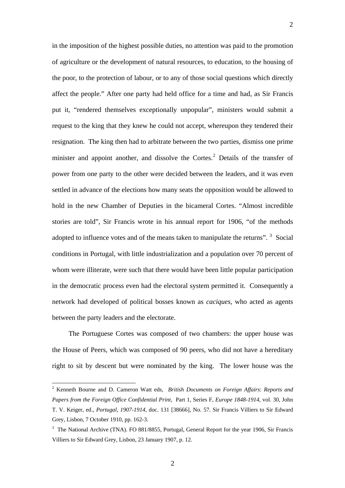in the imposition of the highest possible duties, no attention was paid to the promotion of agriculture or the development of natural resources, to education, to the housing of the poor, to the protection of labour, or to any of those social questions which directly affect the people." After one party had held office for a time and had, as Sir Francis put it, "rendered themselves exceptionally unpopular", ministers would submit a request to the king that they knew he could not accept, whereupon they tendered their resignation. The king then had to arbitrate between the two parties, dismiss one prime minister and appoint another, and dissolve the Cortes. $^2$  $^2$  Details of the transfer of power from one party to the other were decided between the leaders, and it was even settled in advance of the elections how many seats the opposition would be allowed to hold in the new Chamber of Deputies in the bicameral Cortes. "Almost incredible stories are told", Sir Francis wrote in his annual report for 1906, "of the methods adopted to influence votes and of the means taken to manipulate the returns".  $3$  Social conditions in Portugal, with little industrialization and a population over 70 percent of whom were illiterate, were such that there would have been little popular participation in the democratic process even had the electoral system permitted it. Consequently a network had developed of political bosses known as *caciques*, who acted as agents between the party leaders and the electorate.

The Portuguese Cortes was composed of two chambers: the upper house was the House of Peers, which was composed of 90 peers, who did not have a hereditary right to sit by descent but were nominated by the king. The lower house was the

 $\overline{a}$ 

<span id="page-1-0"></span><sup>2</sup> Kenneth Bourne and D. Cameron Watt eds, *British Documents on Foreign Affairs*: *Reports and Papers from the Foreign Office Confidential Print*, Part 1, Series F, *Europe 1848-1914*, vol. 30, John T. V. Keiger, ed., *Portugal*, *1907-1914*, doc. 131 [38666], No. 57. Sir Francis Villiers to Sir Edward Grey, Lisbon, 7 October 1910, pp. 162-3.

<span id="page-1-1"></span><sup>&</sup>lt;sup>3</sup> The National Archive (TNA). FO 881/8855, Portugal, General Report for the year 1906, Sir Francis Villiers to Sir Edward Grey, Lisbon, 23 January 1907, p. 12.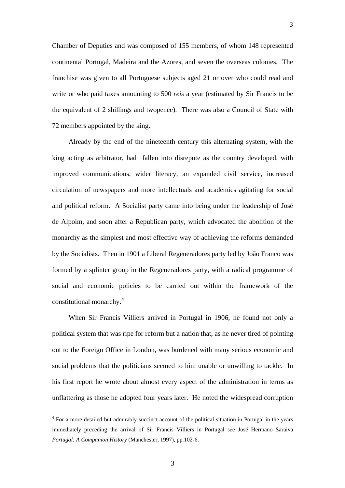Chamber of Deputies and was composed of 155 members, of whom 148 represented continental Portugal, Madeira and the Azores, and seven the overseas colonies. The franchise was given to all Portuguese subjects aged 21 or over who could read and write or who paid taxes amounting to 500 *reis* a year (estimated by Sir Francis to be the equivalent of 2 shillings and twopence). There was also a Council of State with 72 members appointed by the king.

Already by the end of the nineteenth century this alternating system, with the king acting as arbitrator, had fallen into disrepute as the country developed, with improved communications, wider literacy, an expanded civil service, increased circulation of newspapers and more intellectuals and academics agitating for social and political reform. A Socialist party came into being under the leadership of José de Alpoim, and soon after a Republican party, which advocated the abolition of the monarchy as the simplest and most effective way of achieving the reforms demanded by the Socialists. Then in 1901 a Liberal Regeneradores party led by João Franco was formed by a splinter group in the Regeneradores party, with a radical programme of social and economic policies to be carried out within the framework of the constitutional monarchy.[4](#page-2-0)

When Sir Francis Villiers arrived in Portugal in 1906, he found not only a political system that was ripe for reform but a nation that, as he never tired of pointing out to the Foreign Office in London, was burdened with many serious economic and social problems that the politicians seemed to him unable or unwilling to tackle. In his first report he wrote about almost every aspect of the administration in terms as unflattering as those he adopted four years later. He noted the widespread corruption

3

<span id="page-2-0"></span><sup>&</sup>lt;sup>4</sup> For a more detailed but admirably succinct account of the political situation in Portugal in the years immediately preceding the arrival of Sir Francis Villiers in Portugal see José Hermano Saraiva *Portugal: A Companion History* (Manchester, 1997), pp.102-6.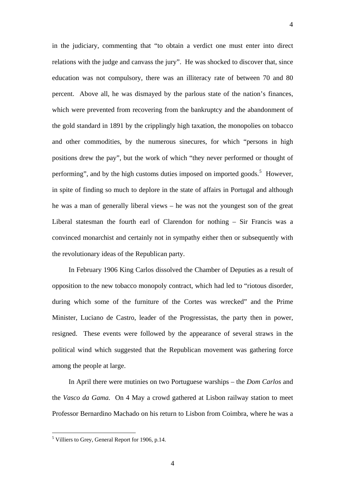in the judiciary, commenting that "to obtain a verdict one must enter into direct relations with the judge and canvass the jury". He was shocked to discover that, since education was not compulsory, there was an illiteracy rate of between 70 and 80 percent. Above all, he was dismayed by the parlous state of the nation's finances, which were prevented from recovering from the bankruptcy and the abandonment of the gold standard in 1891 by the cripplingly high taxation, the monopolies on tobacco and other commodities, by the numerous sinecures, for which "persons in high positions drew the pay", but the work of which "they never performed or thought of performing", and by the high customs duties imposed on imported goods.<sup>[5](#page-3-0)</sup> However, in spite of finding so much to deplore in the state of affairs in Portugal and although he was a man of generally liberal views – he was not the youngest son of the great Liberal statesman the fourth earl of Clarendon for nothing – Sir Francis was a convinced monarchist and certainly not in sympathy either then or subsequently with the revolutionary ideas of the Republican party.

4

In February 1906 King Carlos dissolved the Chamber of Deputies as a result of opposition to the new tobacco monopoly contract, which had led to "riotous disorder, during which some of the furniture of the Cortes was wrecked" and the Prime Minister, Luciano de Castro, leader of the Progressistas, the party then in power, resigned. These events were followed by the appearance of several straws in the political wind which suggested that the Republican movement was gathering force among the people at large.

In April there were mutinies on two Portuguese warships – the *Dom Carlos* and the *Vasco da Gama.* On 4 May a crowd gathered at Lisbon railway station to meet Professor Bernardino Machado on his return to Lisbon from Coimbra, where he was a

<span id="page-3-0"></span><sup>&</sup>lt;sup>5</sup> Villiers to Grey, General Report for 1906, p.14.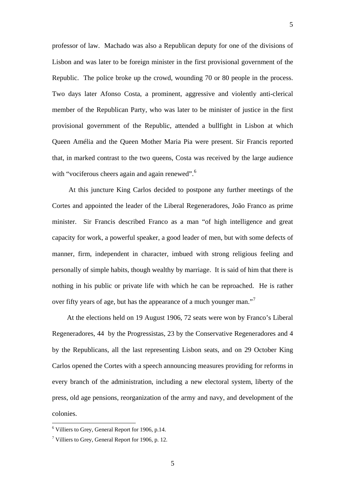professor of law. Machado was also a Republican deputy for one of the divisions of Lisbon and was later to be foreign minister in the first provisional government of the Republic. The police broke up the crowd, wounding 70 or 80 people in the process. Two days later Afonso Costa, a prominent, aggressive and violently anti-clerical member of the Republican Party, who was later to be minister of justice in the first provisional government of the Republic, attended a bullfight in Lisbon at which Queen Amélia and the Queen Mother Maria Pia were present. Sir Francis reported that, in marked contrast to the two queens, Costa was received by the large audience with "vociferous cheers again and again renewed".<sup>[6](#page-4-0)</sup>

At this juncture King Carlos decided to postpone any further meetings of the Cortes and appointed the leader of the Liberal Regeneradores, João Franco as prime minister. Sir Francis described Franco as a man "of high intelligence and great capacity for work, a powerful speaker, a good leader of men, but with some defects of manner, firm, independent in character, imbued with strong religious feeling and personally of simple habits, though wealthy by marriage. It is said of him that there is nothing in his public or private life with which he can be reproached. He is rather over fifty years of age, but has the appearance of a much younger man."[7](#page-4-1)

At the elections held on 19 August 1906, 72 seats were won by Franco's Liberal Regeneradores, 44 by the Progressistas, 23 by the Conservative Regeneradores and 4 by the Republicans, all the last representing Lisbon seats, and on 29 October King Carlos opened the Cortes with a speech announcing measures providing for reforms in every branch of the administration, including a new electoral system, liberty of the press, old age pensions, reorganization of the army and navy, and development of the colonies.

 $\overline{a}$ 

<span id="page-4-0"></span><sup>6</sup> Villiers to Grey, General Report for 1906, p.14.

<span id="page-4-1"></span> $7$  Villiers to Grey, General Report for 1906, p. 12.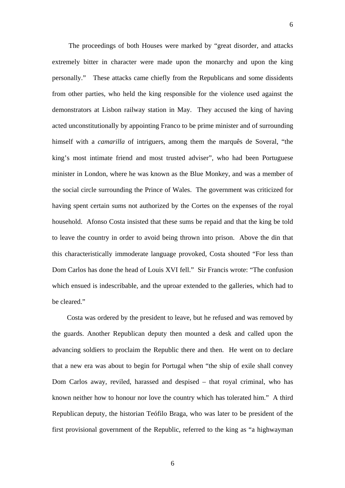The proceedings of both Houses were marked by "great disorder, and attacks extremely bitter in character were made upon the monarchy and upon the king personally." These attacks came chiefly from the Republicans and some dissidents from other parties, who held the king responsible for the violence used against the demonstrators at Lisbon railway station in May. They accused the king of having acted unconstitutionally by appointing Franco to be prime minister and of surrounding himself with a *camarilla* of intriguers, among them the marquês de Soveral, "the king's most intimate friend and most trusted adviser", who had been Portuguese minister in London, where he was known as the Blue Monkey, and was a member of the social circle surrounding the Prince of Wales. The government was criticized for having spent certain sums not authorized by the Cortes on the expenses of the royal household. Afonso Costa insisted that these sums be repaid and that the king be told to leave the country in order to avoid being thrown into prison. Above the din that this characteristically immoderate language provoked, Costa shouted "For less than Dom Carlos has done the head of Louis XVI fell." Sir Francis wrote: "The confusion which ensued is indescribable, and the uproar extended to the galleries, which had to be cleared."

Costa was ordered by the president to leave, but he refused and was removed by the guards. Another Republican deputy then mounted a desk and called upon the advancing soldiers to proclaim the Republic there and then. He went on to declare that a new era was about to begin for Portugal when "the ship of exile shall convey Dom Carlos away, reviled, harassed and despised – that royal criminal, who has known neither how to honour nor love the country which has tolerated him." A third Republican deputy, the historian Teófilo Braga, who was later to be president of the first provisional government of the Republic, referred to the king as "a highwayman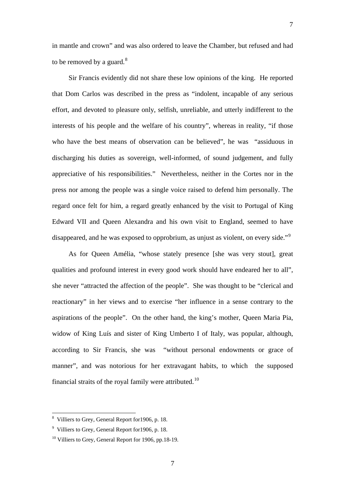7

Sir Francis evidently did not share these low opinions of the king. He reported that Dom Carlos was described in the press as "indolent, incapable of any serious effort, and devoted to pleasure only, selfish, unreliable, and utterly indifferent to the interests of his people and the welfare of his country", whereas in reality, "if those who have the best means of observation can be believed", he was "assiduous in discharging his duties as sovereign, well-informed, of sound judgement, and fully appreciative of his responsibilities." Nevertheless, neither in the Cortes nor in the press nor among the people was a single voice raised to defend him personally. The regard once felt for him, a regard greatly enhanced by the visit to Portugal of King Edward VII and Queen Alexandra and his own visit to England, seemed to have disappeared, and he was exposed to opprobrium, as unjust as violent, on every side."<sup>[9](#page-6-1)</sup>

As for Queen Amélia, "whose stately presence [she was very stout], great qualities and profound interest in every good work should have endeared her to all", she never "attracted the affection of the people". She was thought to be "clerical and reactionary" in her views and to exercise "her influence in a sense contrary to the aspirations of the people". On the other hand, the king's mother, Queen Maria Pia, widow of King Luís and sister of King Umberto I of Italy, was popular, although, according to Sir Francis, she was "without personal endowments or grace of manner", and was notorious for her extravagant habits, to which the supposed financial straits of the royal family were attributed.<sup>[10](#page-6-2)</sup>

 $\overline{a}$ 

<span id="page-6-0"></span><sup>8</sup> Villiers to Grey, General Report for1906, p. 18.

<span id="page-6-1"></span><sup>&</sup>lt;sup>9</sup> Villiers to Grey, General Report for 1906, p. 18.

<span id="page-6-2"></span> $10$  Villiers to Grey, General Report for 1906, pp.18-19.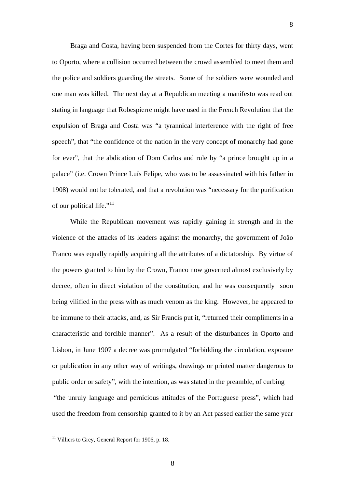Braga and Costa, having been suspended from the Cortes for thirty days, went to Oporto, where a collision occurred between the crowd assembled to meet them and the police and soldiers guarding the streets. Some of the soldiers were wounded and one man was killed. The next day at a Republican meeting a manifesto was read out stating in language that Robespierre might have used in the French Revolution that the expulsion of Braga and Costa was "a tyrannical interference with the right of free speech", that "the confidence of the nation in the very concept of monarchy had gone for ever", that the abdication of Dom Carlos and rule by "a prince brought up in a palace" (i.e. Crown Prince Luís Felipe, who was to be assassinated with his father in 1908) would not be tolerated, and that a revolution was "necessary for the purification of our political life."<sup>[11](#page-7-0)</sup>

8

While the Republican movement was rapidly gaining in strength and in the violence of the attacks of its leaders against the monarchy, the government of João Franco was equally rapidly acquiring all the attributes of a dictatorship. By virtue of the powers granted to him by the Crown, Franco now governed almost exclusively by decree, often in direct violation of the constitution, and he was consequently soon being vilified in the press with as much venom as the king. However, he appeared to be immune to their attacks, and, as Sir Francis put it, "returned their compliments in a characteristic and forcible manner". As a result of the disturbances in Oporto and Lisbon, in June 1907 a decree was promulgated "forbidding the circulation, exposure or publication in any other way of writings, drawings or printed matter dangerous to public order or safety", with the intention, as was stated in the preamble, of curbing "the unruly language and pernicious attitudes of the Portuguese press", which had used the freedom from censorship granted to it by an Act passed earlier the same year

 $\overline{a}$ 

<span id="page-7-0"></span> $11$  Villiers to Grey, General Report for 1906, p. 18.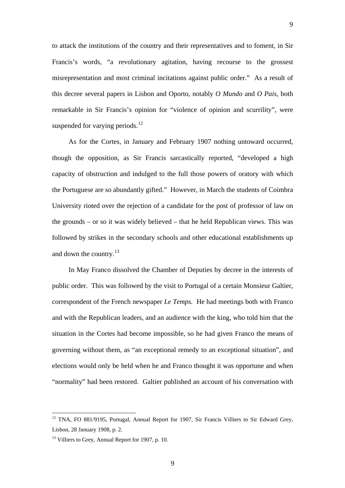to attack the institutions of the country and their representatives and to foment, in Sir Francis's words, "a revolutionary agitation, having recourse to the grossest misrepresentation and most criminal incitations against public order." As a result of this decree several papers in Lisbon and Oporto, notably *O Mundo* and *O Pais*, both remarkable in Sir Francis's opinion for "violence of opinion and scurrility", were suspended for varying periods. $^{12}$  $^{12}$  $^{12}$ 

As for the Cortes, in January and February 1907 nothing untoward occurred, though the opposition, as Sir Francis sarcastically reported, "developed a high capacity of obstruction and indulged to the full those powers of oratory with which the Portuguese are so abundantly gifted." However, in March the students of Coimbra University rioted over the rejection of a candidate for the post of professor of law on the grounds – or so it was widely believed – that he held Republican views. This was followed by strikes in the secondary schools and other educational establishments up and down the country. $^{13}$  $^{13}$  $^{13}$ 

In May Franco dissolved the Chamber of Deputies by decree in the interests of public order. This was followed by the visit to Portugal of a certain Monsieur Galtier, correspondent of the French newspaper *Le Temps.* He had meetings both with Franco and with the Republican leaders, and an audience with the king, who told him that the situation in the Cortes had become impossible, so he had given Franco the means of governing without them, as "an exceptional remedy to an exceptional situation", and elections would only be held when he and Franco thought it was opportune and when "normality" had been restored. Galtier published an account of his conversation with

<span id="page-8-0"></span><sup>&</sup>lt;sup>12</sup> TNA, FO 881/9195, Portugal, Annual Report for 1907, Sir Francis Villiers to Sir Edward Grey, Lisbon, 28 January 1908, p. 2.

<span id="page-8-1"></span><sup>&</sup>lt;sup>13</sup> Villiers to Grey, Annual Report for 1907, p. 10.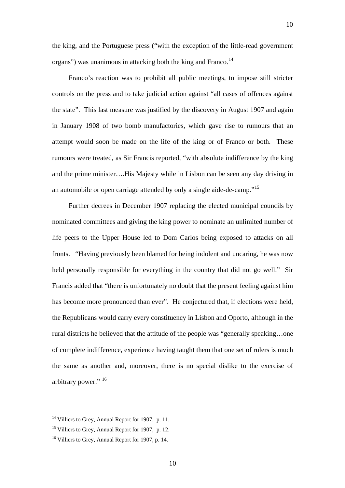the king, and the Portuguese press ("with the exception of the little-read government organs") was unanimous in attacking both the king and Franco.<sup>[14](#page-9-0)</sup>

Franco's reaction was to prohibit all public meetings, to impose still stricter controls on the press and to take judicial action against "all cases of offences against the state". This last measure was justified by the discovery in August 1907 and again in January 1908 of two bomb manufactories, which gave rise to rumours that an attempt would soon be made on the life of the king or of Franco or both. These rumours were treated, as Sir Francis reported, "with absolute indifference by the king and the prime minister….His Majesty while in Lisbon can be seen any day driving in an automobile or open carriage attended by only a single aide-de-camp."[15](#page-9-1)

Further decrees in December 1907 replacing the elected municipal councils by nominated committees and giving the king power to nominate an unlimited number of life peers to the Upper House led to Dom Carlos being exposed to attacks on all fronts. "Having previously been blamed for being indolent and uncaring, he was now held personally responsible for everything in the country that did not go well." Sir Francis added that "there is unfortunately no doubt that the present feeling against him has become more pronounced than ever". He conjectured that, if elections were held, the Republicans would carry every constituency in Lisbon and Oporto, although in the rural districts he believed that the attitude of the people was "generally speaking…one of complete indifference, experience having taught them that one set of rulers is much the same as another and, moreover, there is no special dislike to the exercise of arbitrary power." [16](#page-9-2)

<span id="page-9-0"></span><sup>&</sup>lt;sup>14</sup> Villiers to Grey, Annual Report for 1907, p. 11.

<span id="page-9-1"></span><sup>&</sup>lt;sup>15</sup> Villiers to Grey, Annual Report for 1907, p. 12.

<span id="page-9-2"></span><sup>&</sup>lt;sup>16</sup> Villiers to Grey, Annual Report for 1907, p. 14.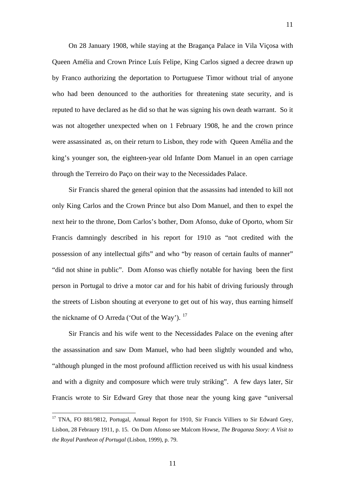On 28 January 1908, while staying at the Bragança Palace in Vila Viçosa with Queen Amélia and Crown Prince Luís Felipe, King Carlos signed a decree drawn up by Franco authorizing the deportation to Portuguese Timor without trial of anyone who had been denounced to the authorities for threatening state security, and is reputed to have declared as he did so that he was signing his own death warrant. So it was not altogether unexpected when on 1 February 1908, he and the crown prince were assassinated as, on their return to Lisbon, they rode with Queen Amélia and the king's younger son, the eighteen-year old Infante Dom Manuel in an open carriage through the Terreiro do Paço on their way to the Necessidades Palace.

11

Sir Francis shared the general opinion that the assassins had intended to kill not only King Carlos and the Crown Prince but also Dom Manuel, and then to expel the next heir to the throne, Dom Carlos's bother, Dom Afonso, duke of Oporto, whom Sir Francis damningly described in his report for 1910 as "not credited with the possession of any intellectual gifts" and who "by reason of certain faults of manner" "did not shine in public". Dom Afonso was chiefly notable for having been the first person in Portugal to drive a motor car and for his habit of driving furiously through the streets of Lisbon shouting at everyone to get out of his way, thus earning himself the nickname of O Arreda ('Out of the Way').  $17$ 

Sir Francis and his wife went to the Necessidades Palace on the evening after the assassination and saw Dom Manuel, who had been slightly wounded and who, "although plunged in the most profound affliction received us with his usual kindness and with a dignity and composure which were truly striking". A few days later, Sir Francis wrote to Sir Edward Grey that those near the young king gave "universal

11

<span id="page-10-0"></span><sup>&</sup>lt;sup>17</sup> TNA, FO 881/9812, Portugal, Annual Report for 1910, Sir Francis Villiers to Sir Edward Grey, Lisbon, 28 Febraury 1911, p. 15. On Dom Afonso see Malcom Howse, *The Braganza Story: A Visit to the Royal Pantheon of Portugal* (Lisbon, 1999), p. 79.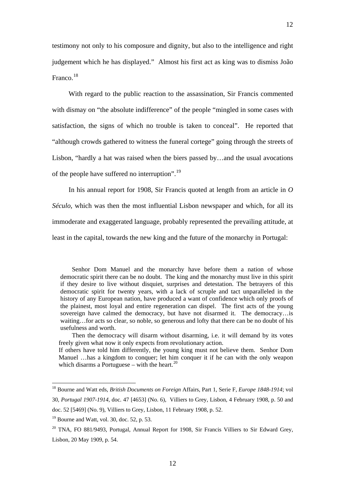testimony not only to his composure and dignity, but also to the intelligence and right judgement which he has displayed." Almost his first act as king was to dismiss João Franco.[18](#page-11-0)

With regard to the public reaction to the assassination, Sir Francis commented with dismay on "the absolute indifference" of the people "mingled in some cases with satisfaction, the signs of which no trouble is taken to conceal". He reported that "although crowds gathered to witness the funeral cortege" going through the streets of Lisbon, "hardly a hat was raised when the biers passed by…and the usual avocations of the people have suffered no interruption".<sup>[19](#page-11-1)</sup>

In his annual report for 1908, Sir Francis quoted at length from an article in *O Século*, which was then the most influential Lisbon newspaper and which, for all its immoderate and exaggerated language, probably represented the prevailing attitude, at least in the capital, towards the new king and the future of the monarchy in Portugal:

Then the democracy will disarm without disarming, i.e. it will demand by its votes freely given what now it only expects from revolutionary action. If others have told him differently, the young king must not believe them. Senhor Dom Manuel …has a kingdom to conquer; let him conquer it if he can with the only weapon which disarms a Portuguese – with the heart.<sup>[20](#page-11-2)</sup>

Senhor Dom Manuel and the monarchy have before them a nation of whose democratic spirit there can be no doubt. The king and the monarchy must live in this spirit if they desire to live without disquiet, surprises and detestation. The betrayers of this democratic spirit for twenty years, with a lack of scruple and tact unparalleled in the history of any European nation, have produced a want of confidence which only proofs of the plainest, most loyal and entire regeneration can dispel. The first acts of the young sovereign have calmed the democracy, but have not disarmed it. The democracy…is waiting…for acts so clear, so noble, so generous and lofty that there can be no doubt of his usefulness and worth.

<span id="page-11-0"></span><sup>18</sup> Bourne and Watt eds, *British Documents on Foreign* Affairs, Part 1, Serie F, *Europe 1848-1914*; vol 30*, Portugal 1907-1914*, doc. 47 [4653] (No. 6), Villiers to Grey, Lisbon, 4 February 1908, p. 50 and

doc. 52 [5469] (No. 9), Villiers to Grey, Lisbon, 11 February 1908, p. 52.

<span id="page-11-1"></span> $19$  Bourne and Watt, vol. 30, doc. 52, p. 53.

<span id="page-11-2"></span><sup>&</sup>lt;sup>20</sup> TNA, FO 881/9493, Portugal, Annual Report for 1908, Sir Francis Villiers to Sir Edward Grey, Lisbon, 20 May 1909, p. 54.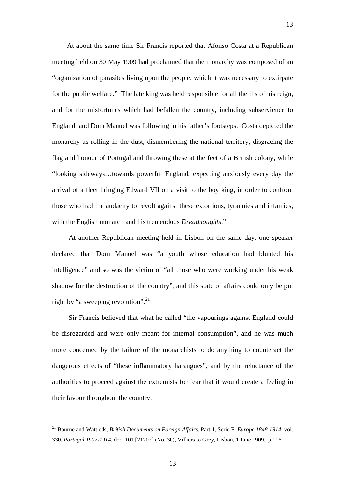At about the same time Sir Francis reported that Afonso Costa at a Republican meeting held on 30 May 1909 had proclaimed that the monarchy was composed of an "organization of parasites living upon the people, which it was necessary to extirpate for the public welfare." The late king was held responsible for all the ills of his reign, and for the misfortunes which had befallen the country, including subservience to England, and Dom Manuel was following in his father's footsteps. Costa depicted the monarchy as rolling in the dust, dismembering the national territory, disgracing the flag and honour of Portugal and throwing these at the feet of a British colony, while "looking sideways…towards powerful England, expecting anxiously every day the arrival of a fleet bringing Edward VII on a visit to the boy king, in order to confront those who had the audacity to revolt against these extortions, tyrannies and infamies, with the English monarch and his tremendous *Dreadnoughts*."

At another Republican meeting held in Lisbon on the same day, one speaker declared that Dom Manuel was "a youth whose education had blunted his intelligence" and so was the victim of "all those who were working under his weak shadow for the destruction of the country", and this state of affairs could only be put right by "a sweeping revolution".<sup>[21](#page-12-0)</sup>

Sir Francis believed that what he called "the vapourings against England could be disregarded and were only meant for internal consumption", and he was much more concerned by the failure of the monarchists to do anything to counteract the dangerous effects of "these inflammatory harangues", and by the reluctance of the authorities to proceed against the extremists for fear that it would create a feeling in their favour throughout the country.

 $\overline{a}$ 

<span id="page-12-0"></span><sup>21</sup> Bourne and Watt eds, *British Documents on Foreign Affairs*, Part 1, Serie F, *Europe 1848-1914*: vol. 330, *Portugal 1907-1914,* doc. 101 [21202] (No. 30), Villiers to Grey, Lisbon, 1 June 1909, p.116.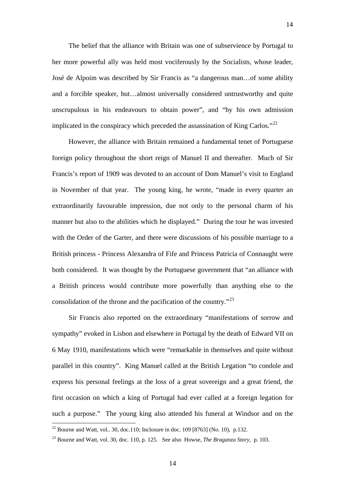The belief that the alliance with Britain was one of subservience by Portugal to her more powerful ally was held most vociferously by the Socialists, whose leader, José de Alpoim was described by Sir Francis as "a dangerous man…of some ability and a forcible speaker, but…almost universally considered untrustworthy and quite unscrupulous in his endeavours to obtain power", and "by his own admission implicated in the conspiracy which preceded the assassination of King Carlos."<sup>[22](#page-13-0)</sup>

However, the alliance with Britain remained a fundamental tenet of Portuguese foreign policy throughout the short reign of Manuel II and thereafter. Much of Sir Francis's report of 1909 was devoted to an account of Dom Manuel's visit to England in November of that year. The young king, he wrote, "made in every quarter an extraordinarily favourable impression, due not only to the personal charm of his manner but also to the abilities which he displayed." During the tour he was invested with the Order of the Garter, and there were discussions of his possible marriage to a British princess - Princess Alexandra of Fife and Princess Patricia of Connaught were both considered. It was thought by the Portuguese government that "an alliance with a British princess would contribute more powerfully than anything else to the consolidation of the throne and the pacification of the country."[23](#page-13-1)

Sir Francis also reported on the extraordinary "manifestations of sorrow and sympathy" evoked in Lisbon and elsewhere in Portugal by the death of Edward VII on 6 May 1910, manifestations which were "remarkable in themselves and quite without parallel in this country". King Manuel called at the British Legation "to condole and express his personal feelings at the loss of a great sovereign and a great friend, the first occasion on which a king of Portugal had ever called at a foreign legation for such a purpose." The young king also attended his funeral at Windsor and on the

<span id="page-13-0"></span><sup>&</sup>lt;sup>22</sup> Bourne and Watt, vol.. 30, doc.110; Inclosure in doc. 109 [8763] (No. 10), p.132.

<span id="page-13-1"></span><sup>23</sup> Bourne and Watt, vol. 30, doc. 110, p. 125. See also Howse, *The Braganza Story*, p. 103.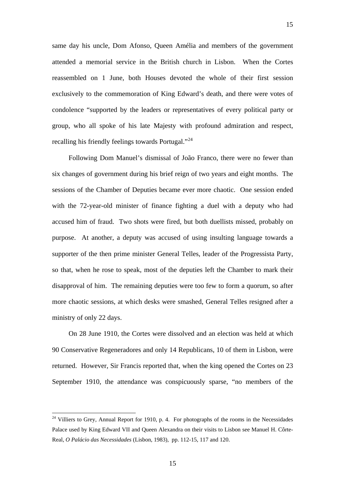same day his uncle, Dom Afonso, Queen Amélia and members of the government attended a memorial service in the British church in Lisbon. When the Cortes reassembled on 1 June, both Houses devoted the whole of their first session exclusively to the commemoration of King Edward's death, and there were votes of condolence "supported by the leaders or representatives of every political party or group, who all spoke of his late Majesty with profound admiration and respect, recalling his friendly feelings towards Portugal."<sup>[24](#page-14-0)</sup>

15

Following Dom Manuel's dismissal of João Franco, there were no fewer than six changes of government during his brief reign of two years and eight months. The sessions of the Chamber of Deputies became ever more chaotic. One session ended with the 72-year-old minister of finance fighting a duel with a deputy who had accused him of fraud. Two shots were fired, but both duellists missed, probably on purpose. At another, a deputy was accused of using insulting language towards a supporter of the then prime minister General Telles, leader of the Progressista Party, so that, when he rose to speak, most of the deputies left the Chamber to mark their disapproval of him. The remaining deputies were too few to form a quorum, so after more chaotic sessions, at which desks were smashed, General Telles resigned after a ministry of only 22 days.

On 28 June 1910, the Cortes were dissolved and an election was held at which 90 Conservative Regeneradores and only 14 Republicans, 10 of them in Lisbon, were returned. However, Sir Francis reported that, when the king opened the Cortes on 23 September 1910, the attendance was conspicuously sparse, "no members of the

15

<span id="page-14-0"></span><sup>&</sup>lt;sup>24</sup> Villiers to Grey, Annual Report for 1910, p. 4. For photographs of the rooms in the Necessidades Palace used by King Edward VII and Queen Alexandra on their visits to Lisbon see Manuel H. Côrte-Real, *O Palácio das Necessidades* (Lisbon, 1983), pp. 112-15, 117 and 120.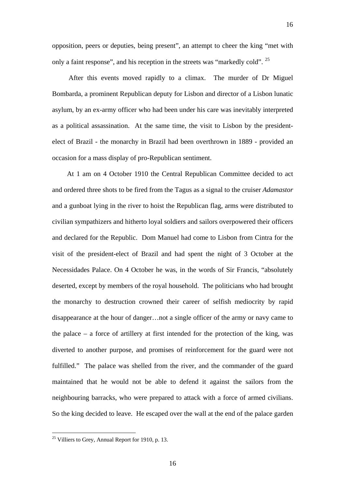opposition, peers or deputies, being present", an attempt to cheer the king "met with only a faint response", and his reception in the streets was "markedly cold". <sup>[25](#page-15-0)</sup>

16

After this events moved rapidly to a climax. The murder of Dr Miguel Bombarda, a prominent Republican deputy for Lisbon and director of a Lisbon lunatic asylum, by an ex-army officer who had been under his care was inevitably interpreted as a political assassination. At the same time, the visit to Lisbon by the presidentelect of Brazil - the monarchy in Brazil had been overthrown in 1889 - provided an occasion for a mass display of pro-Republican sentiment.

At 1 am on 4 October 1910 the Central Republican Committee decided to act and ordered three shots to be fired from the Tagus as a signal to the cruiser *Adamastor* and a gunboat lying in the river to hoist the Republican flag, arms were distributed to civilian sympathizers and hitherto loyal soldiers and sailors overpowered their officers and declared for the Republic. Dom Manuel had come to Lisbon from Cintra for the visit of the president-elect of Brazil and had spent the night of 3 October at the Necessidades Palace. On 4 October he was, in the words of Sir Francis, "absolutely deserted, except by members of the royal household. The politicians who had brought the monarchy to destruction crowned their career of selfish mediocrity by rapid disappearance at the hour of danger…not a single officer of the army or navy came to the palace – a force of artillery at first intended for the protection of the king, was diverted to another purpose, and promises of reinforcement for the guard were not fulfilled." The palace was shelled from the river, and the commander of the guard maintained that he would not be able to defend it against the sailors from the neighbouring barracks, who were prepared to attack with a force of armed civilians. So the king decided to leave. He escaped over the wall at the end of the palace garden

<span id="page-15-0"></span> $25$  Villiers to Grey, Annual Report for 1910, p. 13.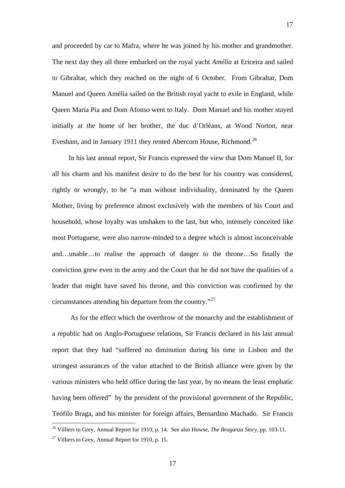and proceeded by car to Mafra, where he was joined by his mother and grandmother. The next day they all three embarked on the royal yacht *Amélia* at Ericeira and sailed to Gibraltar, which they reached on the night of 6 October. From Gibraltar, Dom Manuel and Queen Amélia sailed on the British royal yacht to exile in England, while Queen Maria Pia and Dom Afonso went to Italy. Dom Manuel and his mother stayed initially at the home of her brother, the duc d'Orléans, at Wood Norton, near Evesham, and in January 1911 they rented Abercorn House, Richmond.<sup>[26](#page-16-0)</sup>

17

In his last annual report, Sir Francis expressed the view that Dom Manuel II, for all his charm and his manifest desire to do the best for his country was considered, rightly or wrongly, to be "a man without individuality, dominated by the Queen Mother, living by preference almost exclusively with the members of his Court and household, whose loyalty was unshaken to the last, but who, intensely conceited like most Portuguese, were also narrow-minded to a degree which is almost inconceivable and…unable…to realise the approach of danger to the throne…So finally the conviction grew even in the army and the Court that he did not have the qualities of a leader that might have saved his throne, and this conviction was confirmed by the circumstances attending his departure from the country."[27](#page-16-1)

 As for the effect which the overthrow of the monarchy and the establishment of a republic had on Anglo-Portuguese relations, Sir Francis declared in his last annual report that they had "suffered no diminution during his time in Lisbon and the strongest assurances of the value attached to the British alliance were given by the various ministers who held office during the last year, by no means the least emphatic having been offered" by the president of the provisional government of the Republic, Teófilo Braga, and his minister for foreign affairs, Bernardino Machado. Sir Francis

<span id="page-16-0"></span><sup>26</sup> Villiers to Grey, Annual Report for 1910, p. 14. See also Howse, *The Braganza Story*, pp. 103-11.

<span id="page-16-1"></span> $27$  Villiers to Grey, Annual Report for 1910, p. 15.